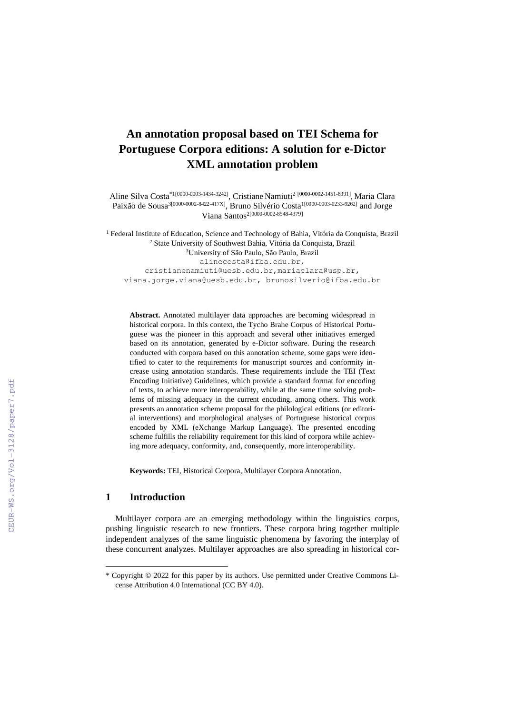# **An annotation proposal based on TEI Schema for Portuguese Corpora editions: A solution for e-Dictor XML annotation problem**

Aline Silva Costa<sup>\*1[0000-0003-1434-3242]</sup>, Cristiane Namiuti<sup>2</sup> [0000-0002-1451-8391], Maria Clara Paixão de Sousa<sup>3[0000-0002-8422-417X]</sup>, Bruno Silvério Costa<sup>1[0000-0003-0233-9262]</sup> and Jorge Viana Santos2[0000-0002-8548-4379]

<sup>1</sup> Federal Institute of Education, Science and Technology of Bahia, Vitória da Conquista, Brazil <sup>2</sup> State University of Southwest Bahia, Vitória da Conquista, Brazil <sup>3</sup>University of São Paulo, São Paulo, Brazil [alinecosta@ifba.edu.br,](mailto:alinecosta@ifba.edu.br) [cristianenamiuti@uesb.edu.br,mariaclara@usp.br,](mailto:cristianenamiuti@uesb.edu.br,mariaclara@usp.br) [viana.jorge.viana@uesb.edu.br,](mailto:viana.jorge.viana@uesb.edu.br) [brunosilverio@ifba.edu.br](mailto:brunosilverio@ifba.edu.br)

**Abstract.** Annotated multilayer data approaches are becoming widespread in historical corpora. In this context, the Tycho Brahe Corpus of Historical Portuguese was the pioneer in this approach and several other initiatives emerged based on its annotation, generated by e-Dictor software. During the research conducted with corpora based on this annotation scheme, some gaps were identified to cater to the requirements for manuscript sources and conformity increase using annotation standards. These requirements include the TEI (Text Encoding Initiative) Guidelines, which provide a standard format for encoding of texts, to achieve more interoperability, while at the same time solving problems of missing adequacy in the current encoding, among others. This work presents an annotation scheme proposal for the philological editions (or editorial interventions) and morphological analyses of Portuguese historical corpus encoded by XML (eXchange Markup Language). The presented encoding scheme fulfills the reliability requirement for this kind of corpora while achieving more adequacy, conformity, and, consequently, more interoperability.

**Keywords:** TEI, Historical Corpora, Multilayer Corpora Annotation.

### **1 Introduction**

Multilayer corpora are an emerging methodology within the linguistics corpus, pushing linguistic research to new frontiers. These corpora bring together multiple independent analyzes of the same linguistic phenomena by favoring the interplay of these concurrent analyzes. Multilayer approaches are also spreading in historical cor-

<sup>\*</sup> Copyright © 2022 for this paper by its authors. Use permitted under Creative Commons License Attribution 4.0 International (CC BY 4.0).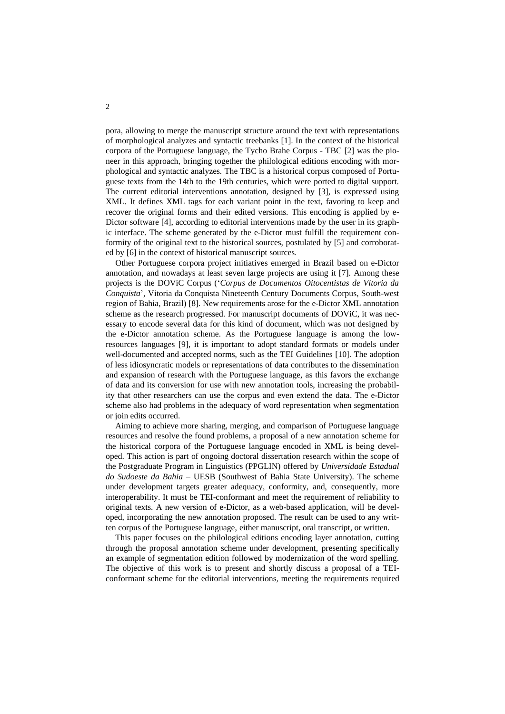pora, allowing to merge the manuscript structure around the text with representations of morphological analyzes and syntactic treebanks [1]. In the context of the historical corpora of the Portuguese language, the Tycho Brahe Corpus - TBC [2] was the pioneer in this approach, bringing together the philological editions encoding with morphological and syntactic analyzes. The TBC is a historical corpus composed of Portuguese texts from the 14th to the 19th centuries, which were ported to digital support. The current editorial interventions annotation, designed by [3], is expressed using XML. It defines XML tags for each variant point in the text, favoring to keep and recover the original forms and their edited versions. This encoding is applied by e-Dictor software [4], according to editorial interventions made by the user in its graphic interface. The scheme generated by the e-Dictor must fulfill the requirement conformity of the original text to the historical sources, postulated by [5] and corroborated by [6] in the context of historical manuscript sources.

Other Portuguese corpora project initiatives emerged in Brazil based on e-Dictor annotation, and nowadays at least seven large projects are using it [7]. Among these projects is the DOViC Corpus ('*Corpus de Documentos Oitocentistas de Vitoria da Conquista*', Vitoria da Conquista Nineteenth Century Documents Corpus, South-west region of Bahia, Brazil) [8]. New requirements arose for the e-Dictor XML annotation scheme as the research progressed. For manuscript documents of DOViC, it was necessary to encode several data for this kind of document, which was not designed by the e-Dictor annotation scheme. As the Portuguese language is among the lowresources languages [9], it is important to adopt standard formats or models under well-documented and accepted norms, such as the TEI Guidelines [10]. The adoption of less idiosyncratic models or representations of data contributes to the dissemination and expansion of research with the Portuguese language, as this favors the exchange of data and its conversion for use with new annotation tools, increasing the probability that other researchers can use the corpus and even extend the data. The e-Dictor scheme also had problems in the adequacy of word representation when segmentation or join edits occurred.

Aiming to achieve more sharing, merging, and comparison of Portuguese language resources and resolve the found problems, a proposal of a new annotation scheme for the historical corpora of the Portuguese language encoded in XML is being developed. This action is part of ongoing doctoral dissertation research within the scope of the Postgraduate Program in Linguistics (PPGLIN) offered by *Universidade Estadual do Sudoeste da Bahia* – UESB (Southwest of Bahia State University). The scheme under development targets greater adequacy, conformity, and, consequently, more interoperability. It must be TEI-conformant and meet the requirement of reliability to original texts. A new version of e-Dictor, as a web-based application, will be developed, incorporating the new annotation proposed. The result can be used to any written corpus of the Portuguese language, either manuscript, oral transcript, or written.

This paper focuses on the philological editions encoding layer annotation, cutting through the proposal annotation scheme under development, presenting specifically an example of segmentation edition followed by modernization of the word spelling. The objective of this work is to present and shortly discuss a proposal of a TEIconformant scheme for the editorial interventions, meeting the requirements required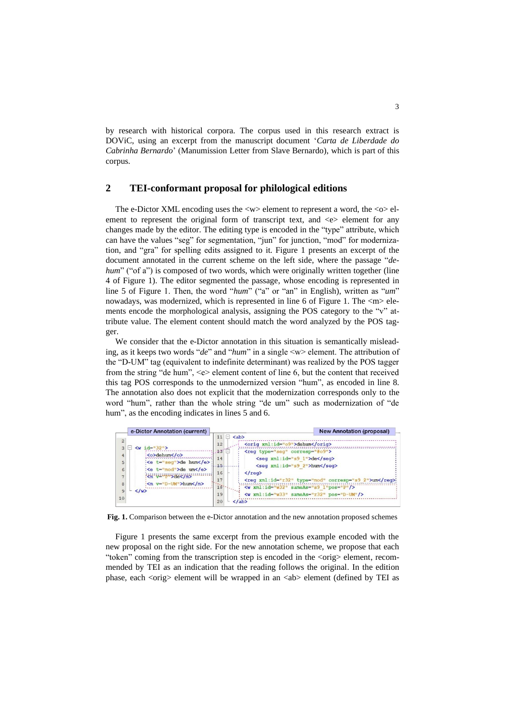by research with historical corpora. The corpus used in this research extract is DOViC, using an excerpt from the manuscript document '*Carta de Liberdade do Cabrinha Bernardo*' (Manumission Letter from Slave Bernardo), which is part of this corpus.

#### **2 TEI-conformant proposal for philological editions**

The e-Dictor XML encoding uses the  $\langle w \rangle$  element to represent a word, the  $\langle \circ \rangle$  element to represent the original form of transcript text, and  $\ll$  element for any changes made by the editor. The editing type is encoded in the "type" attribute, which can have the values "seg" for segmentation, "jun" for junction, "mod" for modernization, and "gra" for spelling edits assigned to it. Figure 1 presents an excerpt of the document annotated in the current scheme on the left side, where the passage "*dehum*" ("of a") is composed of two words, which were originally written together (line 4 of Figure 1). The editor segmented the passage, whose encoding is represented in line 5 of Figure 1. Then, the word "*hum*" ("a" or "an" in English), written as "*um*" nowadays, was modernized, which is represented in line 6 of Figure 1. The  $\langle m \rangle$  elements encode the morphological analysis, assigning the POS category to the "v" attribute value. The element content should match the word analyzed by the POS tagger.

We consider that the e-Dictor annotation in this situation is semantically misleading, as it keeps two words "*de*" and "*hum*" in a single <w> element. The attribution of the "D-UM" tag (equivalent to indefinite determinant) was realized by the POS tagger from the string "de hum",  $\ll$  element content of line 6, but the content that received this tag POS corresponds to the unmodernized version "hum", as encoded in line 8. The annotation also does not explicit that the modernization corresponds only to the word "hum", rather than the whole string "de um" such as modernization of "de hum", as the encoding indicates in lines 5 and 6.



**Fig. 1.** Comparison between the e-Dictor annotation and the new annotation proposed schemes

Figure 1 presents the same excerpt from the previous example encoded with the new proposal on the right side. For the new annotation scheme, we propose that each "token" coming from the transcription step is encoded in the <orig> element, recommended by TEI as an indication that the reading follows the original. In the edition phase, each <orig> element will be wrapped in an <ab> element (defined by TEI as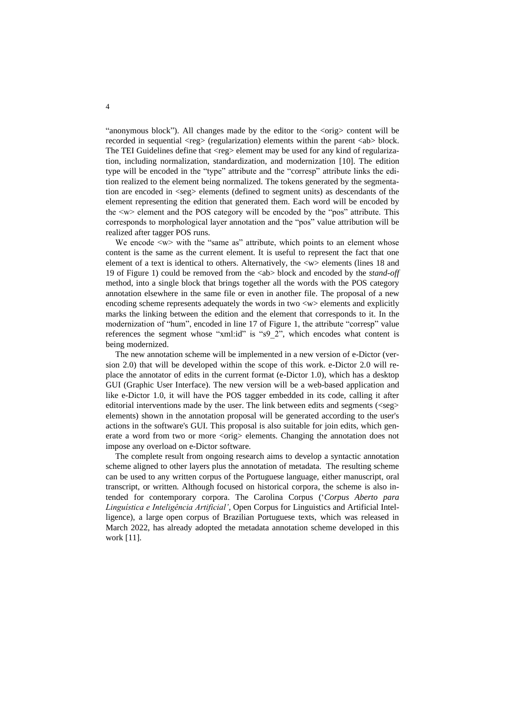"anonymous block"). All changes made by the editor to the  $\langle \text{orig}\rangle$  content will be recorded in sequential  $\langle$ reg $\rangle$  (regularization) elements within the parent  $\langle$ ab $\rangle$  block. The TEI Guidelines define that <reg> element may be used for any kind of regularization, including normalization, standardization, and modernization [10]. The edition type will be encoded in the "type" attribute and the "corresp" attribute links the edition realized to the element being normalized. The tokens generated by the segmentation are encoded in  $\langle$ seg $\rangle$  elements (defined to segment units) as descendants of the element representing the edition that generated them. Each word will be encoded by the <w> element and the POS category will be encoded by the "pos" attribute. This corresponds to morphological layer annotation and the "pos" value attribution will be realized after tagger POS runs.

We encode  $\langle w \rangle$  with the "same as" attribute, which points to an element whose content is the same as the current element. It is useful to represent the fact that one element of a text is identical to others. Alternatively, the <w> elements (lines 18 and 19 of Figure 1) could be removed from the <ab> block and encoded by the *stand-off* method, into a single block that brings together all the words with the POS category annotation elsewhere in the same file or even in another file. The proposal of a new encoding scheme represents adequately the words in two  $\langle w \rangle$  elements and explicitly marks the linking between the edition and the element that corresponds to it. In the modernization of "hum", encoded in line 17 of Figure 1, the attribute "corresp" value references the segment whose "xml:id" is "s9\_2", which encodes what content is being modernized.

The new annotation scheme will be implemented in a new version of e-Dictor (version 2.0) that will be developed within the scope of this work. e-Dictor 2.0 will replace the annotator of edits in the current format (e-Dictor 1.0), which has a desktop GUI (Graphic User Interface). The new version will be a web-based application and like e-Dictor 1.0, it will have the POS tagger embedded in its code, calling it after editorial interventions made by the user. The link between edits and segments  $(\langle \text{seg}\rangle)$ elements) shown in the annotation proposal will be generated according to the user's actions in the software's GUI. This proposal is also suitable for join edits, which generate a word from two or more <orig> elements. Changing the annotation does not impose any overload on e-Dictor software.

The complete result from ongoing research aims to develop a syntactic annotation scheme aligned to other layers plus the annotation of metadata. The resulting scheme can be used to any written corpus of the Portuguese language, either manuscript, oral transcript, or written. Although focused on historical corpora, the scheme is also intended for contemporary corpora. The Carolina Corpus ('*Corpus Aberto para Linguística e Inteligência Artificial',* Open Corpus for Linguistics and Artificial Intelligence), a large open corpus of Brazilian Portuguese texts, which was released in March 2022, has already adopted the metadata annotation scheme developed in this work [11].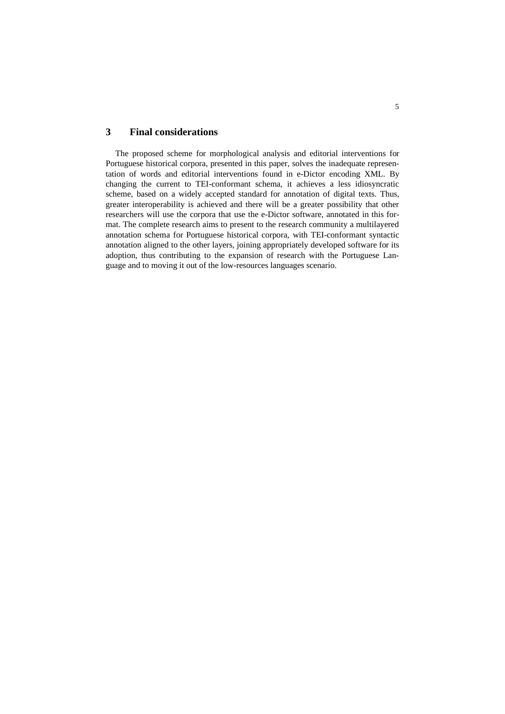# **3 Final considerations**

The proposed scheme for morphological analysis and editorial interventions for Portuguese historical corpora, presented in this paper, solves the inadequate representation of words and editorial interventions found in e-Dictor encoding XML. By changing the current to TEI-conformant schema, it achieves a less idiosyncratic scheme, based on a widely accepted standard for annotation of digital texts. Thus, greater interoperability is achieved and there will be a greater possibility that other researchers will use the corpora that use the e-Dictor software, annotated in this format. The complete research aims to present to the research community a multilayered annotation schema for Portuguese historical corpora, with TEI-conformant syntactic annotation aligned to the other layers, joining appropriately developed software for its adoption, thus contributing to the expansion of research with the Portuguese Language and to moving it out of the low-resources languages scenario.